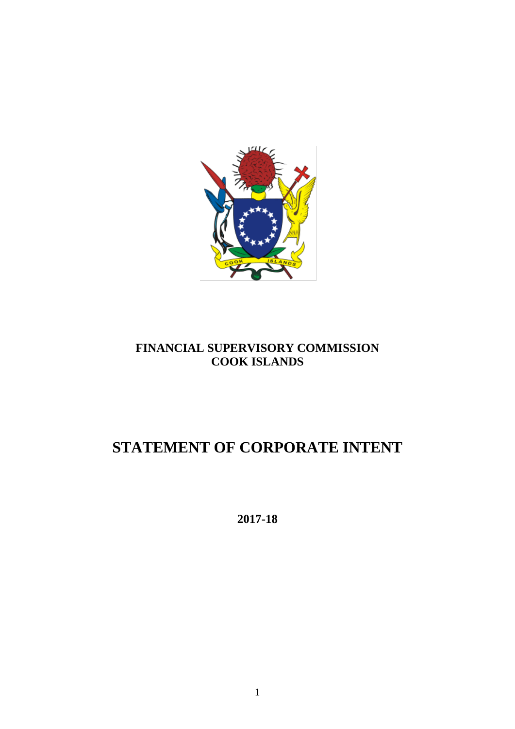

## **FINANCIAL SUPERVISORY COMMISSION COOK ISLANDS**

# **STATEMENT OF CORPORATE INTENT**

**2017-18**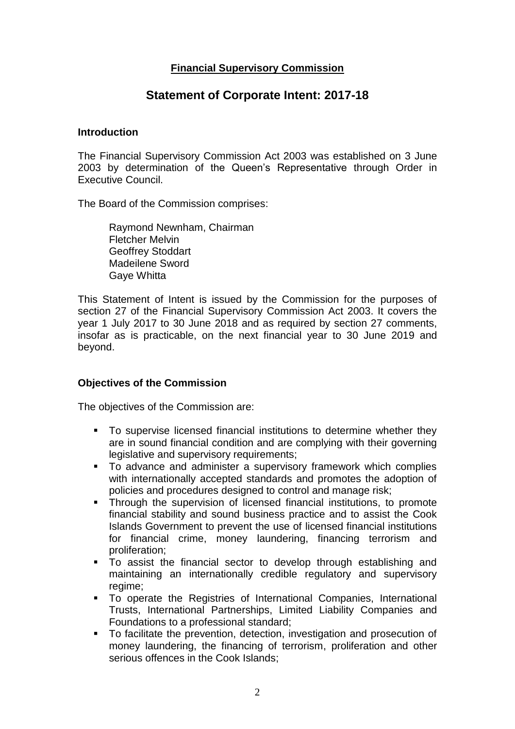## **Financial Supervisory Commission**

## **Statement of Corporate Intent: 2017-18**

#### **Introduction**

The Financial Supervisory Commission Act 2003 was established on 3 June 2003 by determination of the Queen's Representative through Order in Executive Council.

The Board of the Commission comprises:

Raymond Newnham, Chairman Fletcher Melvin Geoffrey Stoddart Madeilene Sword Gaye Whitta

This Statement of Intent is issued by the Commission for the purposes of section 27 of the Financial Supervisory Commission Act 2003. It covers the year 1 July 2017 to 30 June 2018 and as required by section 27 comments, insofar as is practicable, on the next financial year to 30 June 2019 and beyond.

### **Objectives of the Commission**

The objectives of the Commission are:

- To supervise licensed financial institutions to determine whether they are in sound financial condition and are complying with their governing legislative and supervisory requirements;
- **To advance and administer a supervisory framework which complies** with internationally accepted standards and promotes the adoption of policies and procedures designed to control and manage risk;
- **Through the supervision of licensed financial institutions, to promote** financial stability and sound business practice and to assist the Cook Islands Government to prevent the use of licensed financial institutions for financial crime, money laundering, financing terrorism and proliferation;
- To assist the financial sector to develop through establishing and maintaining an internationally credible regulatory and supervisory regime;
- To operate the Registries of International Companies, International Trusts, International Partnerships, Limited Liability Companies and Foundations to a professional standard;
- To facilitate the prevention, detection, investigation and prosecution of money laundering, the financing of terrorism, proliferation and other serious offences in the Cook Islands;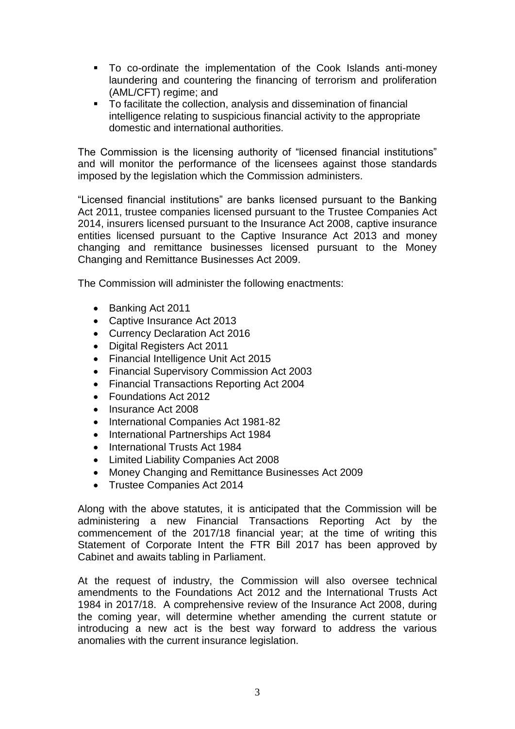- To co-ordinate the implementation of the Cook Islands anti-money laundering and countering the financing of terrorism and proliferation (AML/CFT) regime; and
- To facilitate the collection, analysis and dissemination of financial intelligence relating to suspicious financial activity to the appropriate domestic and international authorities.

The Commission is the licensing authority of "licensed financial institutions" and will monitor the performance of the licensees against those standards imposed by the legislation which the Commission administers.

"Licensed financial institutions" are banks licensed pursuant to the Banking Act 2011, trustee companies licensed pursuant to the Trustee Companies Act 2014, insurers licensed pursuant to the Insurance Act 2008, captive insurance entities licensed pursuant to the Captive Insurance Act 2013 and money changing and remittance businesses licensed pursuant to the Money Changing and Remittance Businesses Act 2009.

The Commission will administer the following enactments:

- Banking Act 2011
- Captive Insurance Act 2013
- Currency Declaration Act 2016
- Digital Registers Act 2011
- Financial Intelligence Unit Act 2015
- Financial Supervisory Commission Act 2003
- Financial Transactions Reporting Act 2004
- Foundations Act 2012
- Insurance Act 2008
- International Companies Act 1981-82
- International Partnerships Act 1984
- International Trusts Act 1984
- Limited Liability Companies Act 2008
- Money Changing and Remittance Businesses Act 2009
- Trustee Companies Act 2014

Along with the above statutes, it is anticipated that the Commission will be administering a new Financial Transactions Reporting Act by the commencement of the 2017/18 financial year; at the time of writing this Statement of Corporate Intent the FTR Bill 2017 has been approved by Cabinet and awaits tabling in Parliament.

At the request of industry, the Commission will also oversee technical amendments to the Foundations Act 2012 and the International Trusts Act 1984 in 2017/18. A comprehensive review of the Insurance Act 2008, during the coming year, will determine whether amending the current statute or introducing a new act is the best way forward to address the various anomalies with the current insurance legislation.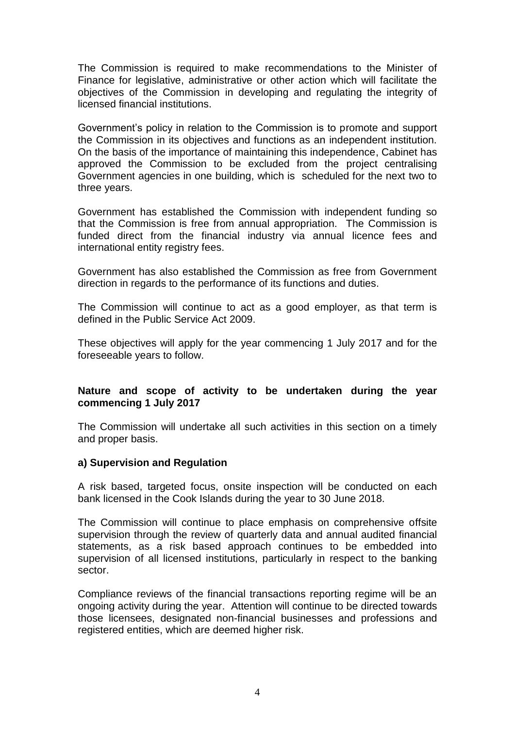The Commission is required to make recommendations to the Minister of Finance for legislative, administrative or other action which will facilitate the objectives of the Commission in developing and regulating the integrity of licensed financial institutions.

Government's policy in relation to the Commission is to promote and support the Commission in its objectives and functions as an independent institution. On the basis of the importance of maintaining this independence, Cabinet has approved the Commission to be excluded from the project centralising Government agencies in one building, which is scheduled for the next two to three years.

Government has established the Commission with independent funding so that the Commission is free from annual appropriation. The Commission is funded direct from the financial industry via annual licence fees and international entity registry fees.

Government has also established the Commission as free from Government direction in regards to the performance of its functions and duties.

The Commission will continue to act as a good employer, as that term is defined in the Public Service Act 2009.

These objectives will apply for the year commencing 1 July 2017 and for the foreseeable years to follow.

### **Nature and scope of activity to be undertaken during the year commencing 1 July 2017**

The Commission will undertake all such activities in this section on a timely and proper basis.

#### **a) Supervision and Regulation**

A risk based, targeted focus, onsite inspection will be conducted on each bank licensed in the Cook Islands during the year to 30 June 2018.

The Commission will continue to place emphasis on comprehensive offsite supervision through the review of quarterly data and annual audited financial statements, as a risk based approach continues to be embedded into supervision of all licensed institutions, particularly in respect to the banking sector.

Compliance reviews of the financial transactions reporting regime will be an ongoing activity during the year. Attention will continue to be directed towards those licensees, designated non-financial businesses and professions and registered entities, which are deemed higher risk.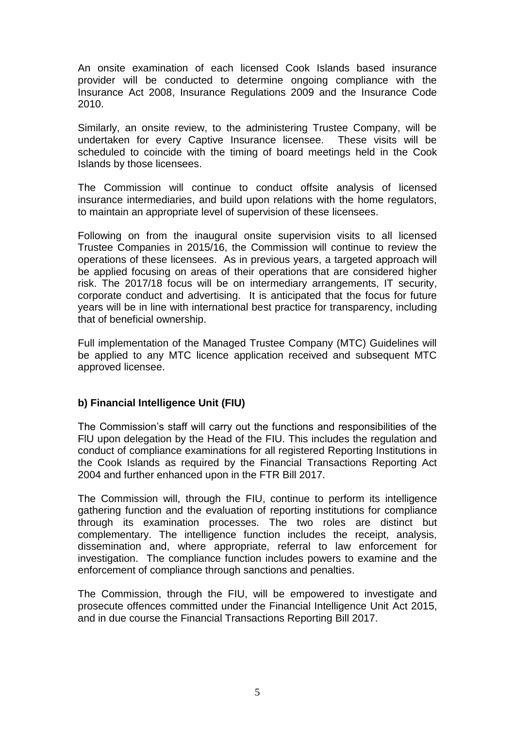An onsite examination of each licensed Cook Islands based insurance provider will be conducted to determine ongoing compliance with the Insurance Act 2008, Insurance Regulations 2009 and the Insurance Code 2010.

Similarly, an onsite review, to the administering Trustee Company, will be undertaken for every Captive Insurance licensee. These visits will be scheduled to coincide with the timing of board meetings held in the Cook Islands by those licensees.

The Commission will continue to conduct offsite analysis of licensed insurance intermediaries, and build upon relations with the home regulators, to maintain an appropriate level of supervision of these licensees.

Following on from the inaugural onsite supervision visits to all licensed Trustee Companies in 2015/16, the Commission will continue to review the operations of these licensees. As in previous years, a targeted approach will be applied focusing on areas of their operations that are considered higher risk. The 2017/18 focus will be on intermediary arrangements, IT security, corporate conduct and advertising. It is anticipated that the focus for future years will be in line with international best practice for transparency, including that of beneficial ownership.

Full implementation of the Managed Trustee Company (MTC) Guidelines will be applied to any MTC licence application received and subsequent MTC approved licensee.

### **b) Financial Intelligence Unit (FIU)**

The Commission's staff will carry out the functions and responsibilities of the FlU upon delegation by the Head of the FIU. This includes the regulation and conduct of compliance examinations for all registered Reporting Institutions in the Cook Islands as required by the Financial Transactions Reporting Act 2004 and further enhanced upon in the FTR Bill 2017.

The Commission will, through the FIU, continue to perform its intelligence gathering function and the evaluation of reporting institutions for compliance through its examination processes. The two roles are distinct but complementary. The intelligence function includes the receipt, analysis, dissemination and, where appropriate, referral to law enforcement for investigation. The compliance function includes powers to examine and the enforcement of compliance through sanctions and penalties.

The Commission, through the FIU, will be empowered to investigate and prosecute offences committed under the Financial Intelligence Unit Act 2015, and in due course the Financial Transactions Reporting Bill 2017.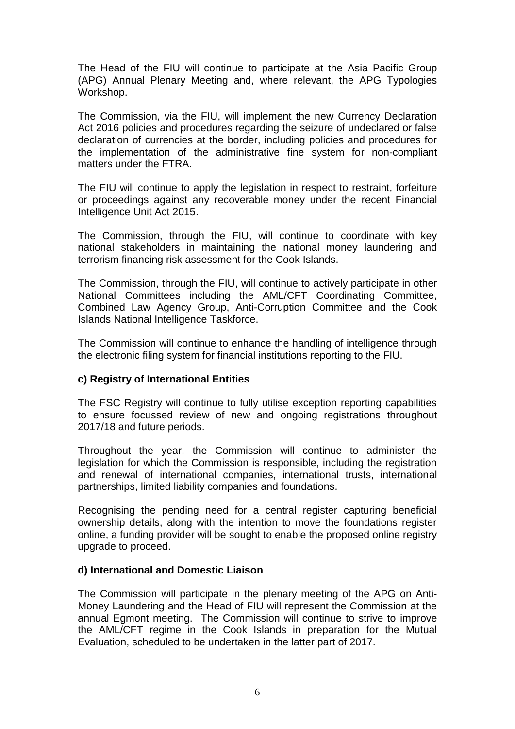The Head of the FIU will continue to participate at the Asia Pacific Group (APG) Annual Plenary Meeting and, where relevant, the APG Typologies Workshop.

The Commission, via the FIU, will implement the new Currency Declaration Act 2016 policies and procedures regarding the seizure of undeclared or false declaration of currencies at the border, including policies and procedures for the implementation of the administrative fine system for non-compliant matters under the FTRA.

The FIU will continue to apply the legislation in respect to restraint, forfeiture or proceedings against any recoverable money under the recent Financial Intelligence Unit Act 2015.

The Commission, through the FIU, will continue to coordinate with key national stakeholders in maintaining the national money laundering and terrorism financing risk assessment for the Cook Islands.

The Commission, through the FIU, will continue to actively participate in other National Committees including the AML/CFT Coordinating Committee, Combined Law Agency Group, Anti-Corruption Committee and the Cook Islands National Intelligence Taskforce.

The Commission will continue to enhance the handling of intelligence through the electronic filing system for financial institutions reporting to the FIU.

### **c) Registry of International Entities**

The FSC Registry will continue to fully utilise exception reporting capabilities to ensure focussed review of new and ongoing registrations throughout 2017/18 and future periods.

Throughout the year, the Commission will continue to administer the legislation for which the Commission is responsible, including the registration and renewal of international companies, international trusts, international partnerships, limited liability companies and foundations.

Recognising the pending need for a central register capturing beneficial ownership details, along with the intention to move the foundations register online, a funding provider will be sought to enable the proposed online registry upgrade to proceed.

#### **d) International and Domestic Liaison**

The Commission will participate in the plenary meeting of the APG on Anti-Money Laundering and the Head of FIU will represent the Commission at the annual Egmont meeting. The Commission will continue to strive to improve the AML/CFT regime in the Cook Islands in preparation for the Mutual Evaluation, scheduled to be undertaken in the latter part of 2017.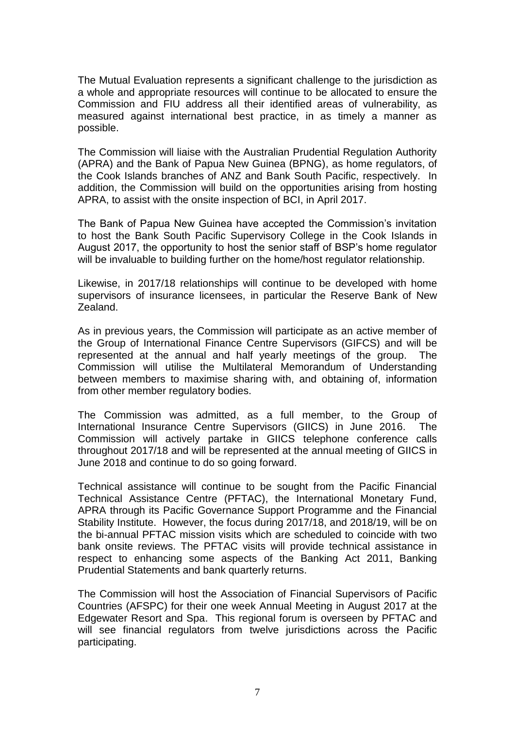The Mutual Evaluation represents a significant challenge to the jurisdiction as a whole and appropriate resources will continue to be allocated to ensure the Commission and FIU address all their identified areas of vulnerability, as measured against international best practice, in as timely a manner as possible.

The Commission will liaise with the Australian Prudential Regulation Authority (APRA) and the Bank of Papua New Guinea (BPNG), as home regulators, of the Cook Islands branches of ANZ and Bank South Pacific, respectively. In addition, the Commission will build on the opportunities arising from hosting APRA, to assist with the onsite inspection of BCI, in April 2017.

The Bank of Papua New Guinea have accepted the Commission's invitation to host the Bank South Pacific Supervisory College in the Cook Islands in August 2017, the opportunity to host the senior staff of BSP's home regulator will be invaluable to building further on the home/host regulator relationship.

Likewise, in 2017/18 relationships will continue to be developed with home supervisors of insurance licensees, in particular the Reserve Bank of New Zealand.

As in previous years, the Commission will participate as an active member of the Group of International Finance Centre Supervisors (GIFCS) and will be represented at the annual and half yearly meetings of the group. The Commission will utilise the Multilateral Memorandum of Understanding between members to maximise sharing with, and obtaining of, information from other member regulatory bodies.

The Commission was admitted, as a full member, to the Group of International Insurance Centre Supervisors (GIICS) in June 2016. The Commission will actively partake in GIICS telephone conference calls throughout 2017/18 and will be represented at the annual meeting of GIICS in June 2018 and continue to do so going forward.

Technical assistance will continue to be sought from the Pacific Financial Technical Assistance Centre (PFTAC), the International Monetary Fund, APRA through its Pacific Governance Support Programme and the Financial Stability Institute. However, the focus during 2017/18, and 2018/19, will be on the bi-annual PFTAC mission visits which are scheduled to coincide with two bank onsite reviews. The PFTAC visits will provide technical assistance in respect to enhancing some aspects of the Banking Act 2011, Banking Prudential Statements and bank quarterly returns.

The Commission will host the Association of Financial Supervisors of Pacific Countries (AFSPC) for their one week Annual Meeting in August 2017 at the Edgewater Resort and Spa. This regional forum is overseen by PFTAC and will see financial regulators from twelve jurisdictions across the Pacific participating.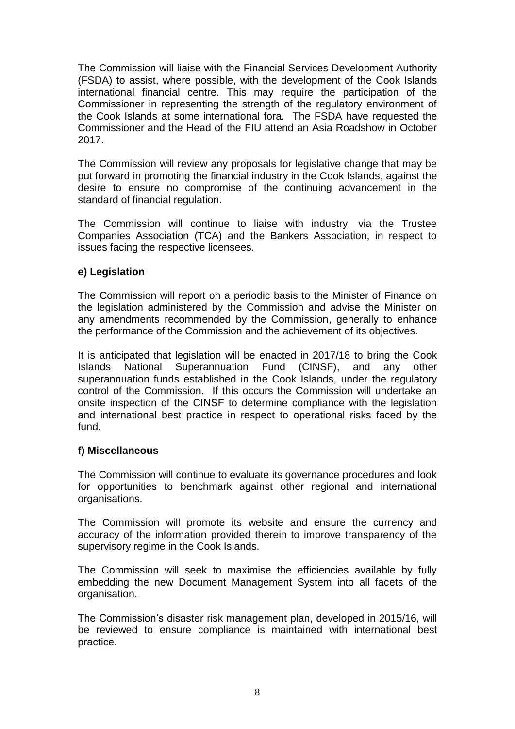The Commission will liaise with the Financial Services Development Authority (FSDA) to assist, where possible, with the development of the Cook Islands international financial centre. This may require the participation of the Commissioner in representing the strength of the regulatory environment of the Cook Islands at some international fora. The FSDA have requested the Commissioner and the Head of the FIU attend an Asia Roadshow in October 2017.

The Commission will review any proposals for legislative change that may be put forward in promoting the financial industry in the Cook Islands, against the desire to ensure no compromise of the continuing advancement in the standard of financial regulation.

The Commission will continue to liaise with industry, via the Trustee Companies Association (TCA) and the Bankers Association, in respect to issues facing the respective licensees.

## **e) Legislation**

The Commission will report on a periodic basis to the Minister of Finance on the legislation administered by the Commission and advise the Minister on any amendments recommended by the Commission, generally to enhance the performance of the Commission and the achievement of its objectives.

It is anticipated that legislation will be enacted in 2017/18 to bring the Cook Islands National Superannuation Fund (CINSF), and any other superannuation funds established in the Cook Islands, under the regulatory control of the Commission. If this occurs the Commission will undertake an onsite inspection of the CINSF to determine compliance with the legislation and international best practice in respect to operational risks faced by the fund.

### **f) Miscellaneous**

The Commission will continue to evaluate its governance procedures and look for opportunities to benchmark against other regional and international organisations.

The Commission will promote its website and ensure the currency and accuracy of the information provided therein to improve transparency of the supervisory regime in the Cook Islands.

The Commission will seek to maximise the efficiencies available by fully embedding the new Document Management System into all facets of the organisation.

The Commission's disaster risk management plan, developed in 2015/16, will be reviewed to ensure compliance is maintained with international best practice.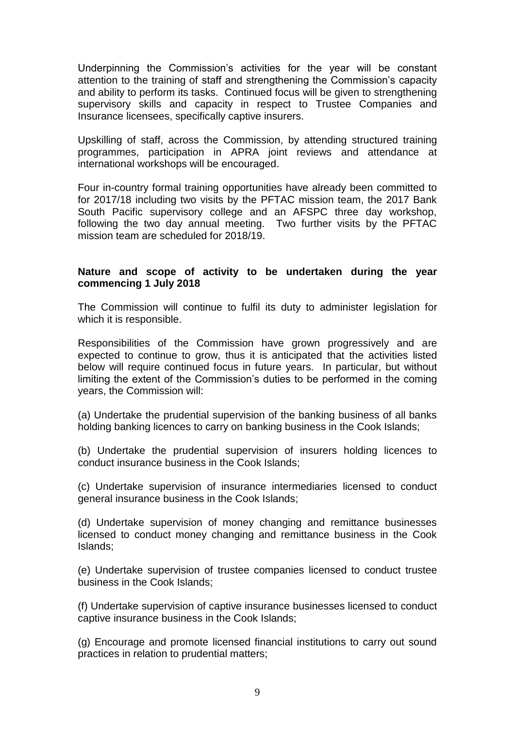Underpinning the Commission's activities for the year will be constant attention to the training of staff and strengthening the Commission's capacity and ability to perform its tasks. Continued focus will be given to strengthening supervisory skills and capacity in respect to Trustee Companies and Insurance licensees, specifically captive insurers.

Upskilling of staff, across the Commission, by attending structured training programmes, participation in APRA joint reviews and attendance at international workshops will be encouraged.

Four in-country formal training opportunities have already been committed to for 2017/18 including two visits by the PFTAC mission team, the 2017 Bank South Pacific supervisory college and an AFSPC three day workshop, following the two day annual meeting. Two further visits by the PFTAC mission team are scheduled for 2018/19.

#### **Nature and scope of activity to be undertaken during the year commencing 1 July 2018**

The Commission will continue to fulfil its duty to administer legislation for which it is responsible.

Responsibilities of the Commission have grown progressively and are expected to continue to grow, thus it is anticipated that the activities listed below will require continued focus in future years. In particular, but without limiting the extent of the Commission's duties to be performed in the coming years, the Commission will:

(a) Undertake the prudential supervision of the banking business of all banks holding banking licences to carry on banking business in the Cook Islands;

(b) Undertake the prudential supervision of insurers holding licences to conduct insurance business in the Cook Islands;

(c) Undertake supervision of insurance intermediaries licensed to conduct general insurance business in the Cook Islands;

(d) Undertake supervision of money changing and remittance businesses licensed to conduct money changing and remittance business in the Cook Islands;

(e) Undertake supervision of trustee companies licensed to conduct trustee business in the Cook Islands;

(f) Undertake supervision of captive insurance businesses licensed to conduct captive insurance business in the Cook Islands;

(g) Encourage and promote licensed financial institutions to carry out sound practices in relation to prudential matters;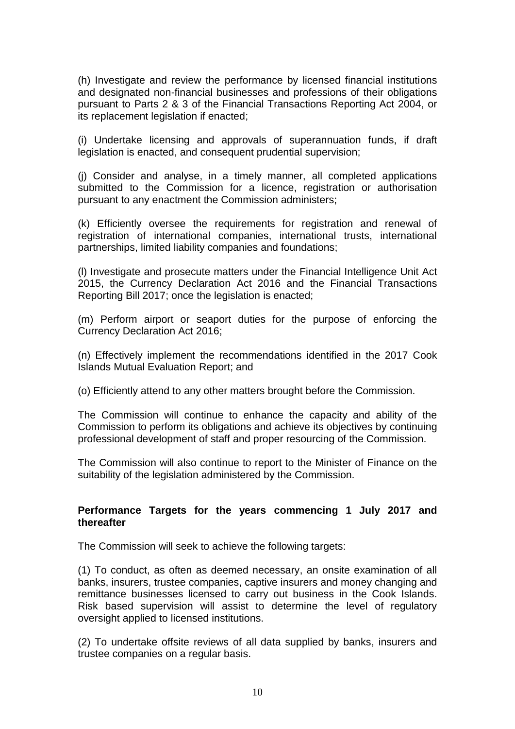(h) Investigate and review the performance by licensed financial institutions and designated non-financial businesses and professions of their obligations pursuant to Parts 2 & 3 of the Financial Transactions Reporting Act 2004, or its replacement legislation if enacted;

(i) Undertake licensing and approvals of superannuation funds, if draft legislation is enacted, and consequent prudential supervision;

(j) Consider and analyse, in a timely manner, all completed applications submitted to the Commission for a licence, registration or authorisation pursuant to any enactment the Commission administers;

(k) Efficiently oversee the requirements for registration and renewal of registration of international companies, international trusts, international partnerships, limited liability companies and foundations;

(l) Investigate and prosecute matters under the Financial Intelligence Unit Act 2015, the Currency Declaration Act 2016 and the Financial Transactions Reporting Bill 2017; once the legislation is enacted;

(m) Perform airport or seaport duties for the purpose of enforcing the Currency Declaration Act 2016;

(n) Effectively implement the recommendations identified in the 2017 Cook Islands Mutual Evaluation Report; and

(o) Efficiently attend to any other matters brought before the Commission.

The Commission will continue to enhance the capacity and ability of the Commission to perform its obligations and achieve its objectives by continuing professional development of staff and proper resourcing of the Commission.

The Commission will also continue to report to the Minister of Finance on the suitability of the legislation administered by the Commission.

## **Performance Targets for the years commencing 1 July 2017 and thereafter**

The Commission will seek to achieve the following targets:

(1) To conduct, as often as deemed necessary, an onsite examination of all banks, insurers, trustee companies, captive insurers and money changing and remittance businesses licensed to carry out business in the Cook Islands. Risk based supervision will assist to determine the level of regulatory oversight applied to licensed institutions.

(2) To undertake offsite reviews of all data supplied by banks, insurers and trustee companies on a regular basis.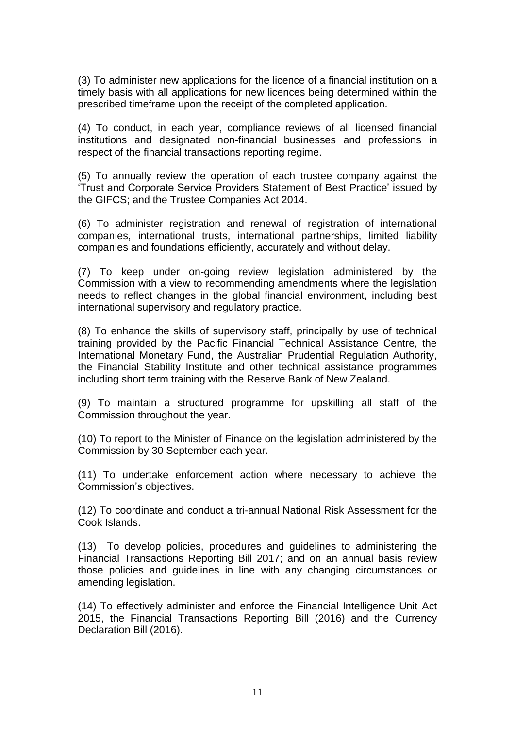(3) To administer new applications for the licence of a financial institution on a timely basis with all applications for new licences being determined within the prescribed timeframe upon the receipt of the completed application.

(4) To conduct, in each year, compliance reviews of all licensed financial institutions and designated non-financial businesses and professions in respect of the financial transactions reporting regime.

(5) To annually review the operation of each trustee company against the 'Trust and Corporate Service Providers Statement of Best Practice' issued by the GIFCS; and the Trustee Companies Act 2014.

(6) To administer registration and renewal of registration of international companies, international trusts, international partnerships, limited liability companies and foundations efficiently, accurately and without delay.

(7) To keep under on-going review legislation administered by the Commission with a view to recommending amendments where the legislation needs to reflect changes in the global financial environment, including best international supervisory and regulatory practice.

(8) To enhance the skills of supervisory staff, principally by use of technical training provided by the Pacific Financial Technical Assistance Centre, the International Monetary Fund, the Australian Prudential Regulation Authority, the Financial Stability Institute and other technical assistance programmes including short term training with the Reserve Bank of New Zealand.

(9) To maintain a structured programme for upskilling all staff of the Commission throughout the year.

(10) To report to the Minister of Finance on the legislation administered by the Commission by 30 September each year.

(11) To undertake enforcement action where necessary to achieve the Commission's objectives.

(12) To coordinate and conduct a tri-annual National Risk Assessment for the Cook Islands.

(13) To develop policies, procedures and guidelines to administering the Financial Transactions Reporting Bill 2017; and on an annual basis review those policies and guidelines in line with any changing circumstances or amending legislation.

(14) To effectively administer and enforce the Financial Intelligence Unit Act 2015, the Financial Transactions Reporting Bill (2016) and the Currency Declaration Bill (2016).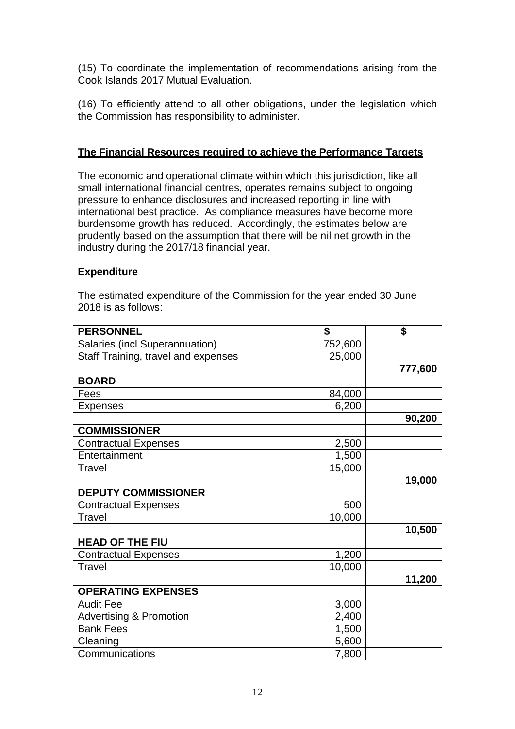(15) To coordinate the implementation of recommendations arising from the Cook Islands 2017 Mutual Evaluation.

(16) To efficiently attend to all other obligations, under the legislation which the Commission has responsibility to administer.

## **The Financial Resources required to achieve the Performance Targets**

The economic and operational climate within which this jurisdiction, like all small international financial centres, operates remains subject to ongoing pressure to enhance disclosures and increased reporting in line with international best practice. As compliance measures have become more burdensome growth has reduced. Accordingly, the estimates below are prudently based on the assumption that there will be nil net growth in the industry during the 2017/18 financial year.

## **Expenditure**

The estimated expenditure of the Commission for the year ended 30 June 2018 is as follows:

| <b>PERSONNEL</b>                    | \$      | \$      |
|-------------------------------------|---------|---------|
| Salaries (incl Superannuation)      | 752,600 |         |
| Staff Training, travel and expenses | 25,000  |         |
|                                     |         | 777,600 |
| <b>BOARD</b>                        |         |         |
| Fees                                | 84,000  |         |
| <b>Expenses</b>                     | 6,200   |         |
|                                     |         | 90,200  |
| <b>COMMISSIONER</b>                 |         |         |
| <b>Contractual Expenses</b>         | 2,500   |         |
| Entertainment                       | 1,500   |         |
| <b>Travel</b>                       | 15,000  |         |
|                                     |         | 19,000  |
| <b>DEPUTY COMMISSIONER</b>          |         |         |
| <b>Contractual Expenses</b>         | 500     |         |
| Travel                              | 10,000  |         |
|                                     |         | 10,500  |
| <b>HEAD OF THE FIU</b>              |         |         |
| <b>Contractual Expenses</b>         | 1,200   |         |
| <b>Travel</b>                       | 10,000  |         |
|                                     |         | 11,200  |
| <b>OPERATING EXPENSES</b>           |         |         |
| <b>Audit Fee</b>                    | 3,000   |         |
| <b>Advertising &amp; Promotion</b>  | 2,400   |         |
| <b>Bank Fees</b>                    | 1,500   |         |
| Cleaning                            | 5,600   |         |
| Communications                      | 7,800   |         |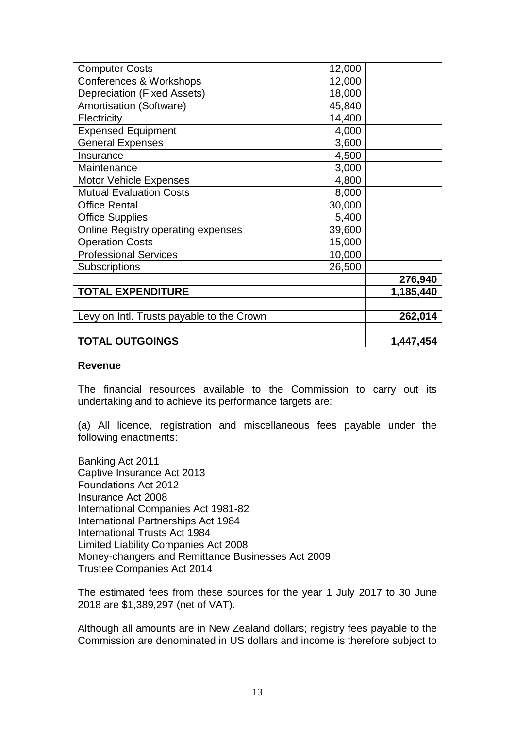| <b>Computer Costs</b>                     | 12,000 |           |
|-------------------------------------------|--------|-----------|
| Conferences & Workshops                   | 12,000 |           |
|                                           |        |           |
| <b>Depreciation (Fixed Assets)</b>        | 18,000 |           |
| <b>Amortisation (Software)</b>            | 45,840 |           |
| Electricity                               | 14,400 |           |
| <b>Expensed Equipment</b>                 | 4,000  |           |
| <b>General Expenses</b>                   | 3,600  |           |
| Insurance                                 | 4,500  |           |
| Maintenance                               | 3,000  |           |
| <b>Motor Vehicle Expenses</b>             | 4,800  |           |
| <b>Mutual Evaluation Costs</b>            | 8,000  |           |
| <b>Office Rental</b>                      | 30,000 |           |
| <b>Office Supplies</b>                    | 5,400  |           |
| Online Registry operating expenses        | 39,600 |           |
| <b>Operation Costs</b>                    | 15,000 |           |
| <b>Professional Services</b>              | 10,000 |           |
| <b>Subscriptions</b>                      | 26,500 |           |
|                                           |        | 276,940   |
| <b>TOTAL EXPENDITURE</b>                  |        | 1,185,440 |
|                                           |        |           |
| Levy on Intl. Trusts payable to the Crown |        | 262,014   |
|                                           |        |           |
| <b>TOTAL OUTGOINGS</b>                    |        | 1,447,454 |

#### **Revenue**

The financial resources available to the Commission to carry out its undertaking and to achieve its performance targets are:

(a) All licence, registration and miscellaneous fees payable under the following enactments:

Banking Act 2011 Captive Insurance Act 2013 Foundations Act 2012 Insurance Act 2008 International Companies Act 1981-82 International Partnerships Act 1984 International Trusts Act 1984 Limited Liability Companies Act 2008 Money-changers and Remittance Businesses Act 2009 Trustee Companies Act 2014

The estimated fees from these sources for the year 1 July 2017 to 30 June 2018 are \$1,389,297 (net of VAT).

Although all amounts are in New Zealand dollars; registry fees payable to the Commission are denominated in US dollars and income is therefore subject to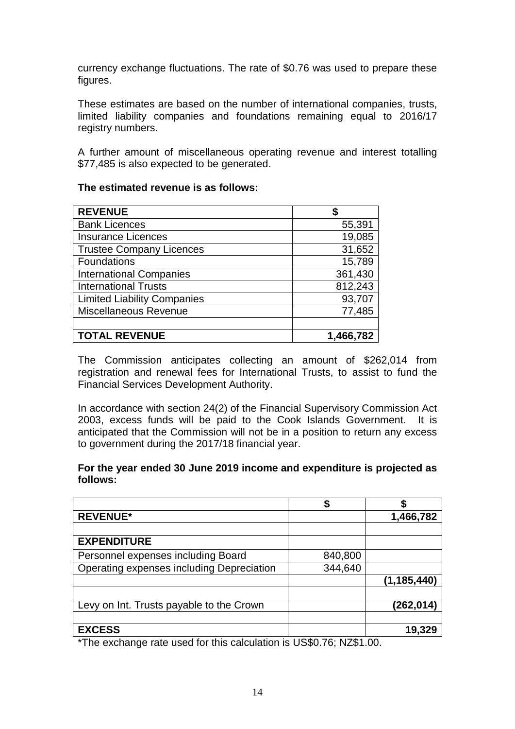currency exchange fluctuations. The rate of \$0.76 was used to prepare these figures.

These estimates are based on the number of international companies, trusts, limited liability companies and foundations remaining equal to 2016/17 registry numbers.

A further amount of miscellaneous operating revenue and interest totalling \$77,485 is also expected to be generated.

#### **The estimated revenue is as follows:**

| <b>REVENUE</b>                     |           |
|------------------------------------|-----------|
| <b>Bank Licences</b>               | 55,391    |
| <b>Insurance Licences</b>          | 19,085    |
| <b>Trustee Company Licences</b>    | 31,652    |
| <b>Foundations</b>                 | 15,789    |
| <b>International Companies</b>     | 361,430   |
| <b>International Trusts</b>        | 812,243   |
| <b>Limited Liability Companies</b> | 93,707    |
| <b>Miscellaneous Revenue</b>       | 77,485    |
|                                    |           |
| <b>TOTAL REVENUE</b>               | 1,466,782 |

The Commission anticipates collecting an amount of \$262,014 from registration and renewal fees for International Trusts, to assist to fund the Financial Services Development Authority.

In accordance with section 24(2) of the Financial Supervisory Commission Act 2003, excess funds will be paid to the Cook Islands Government. It is anticipated that the Commission will not be in a position to return any excess to government during the 2017/18 financial year.

#### **For the year ended 30 June 2019 income and expenditure is projected as follows:**

| <b>REVENUE*</b>                                                                                                                                                                                                                                                                                             |         | 1,466,782     |
|-------------------------------------------------------------------------------------------------------------------------------------------------------------------------------------------------------------------------------------------------------------------------------------------------------------|---------|---------------|
|                                                                                                                                                                                                                                                                                                             |         |               |
| <b>EXPENDITURE</b>                                                                                                                                                                                                                                                                                          |         |               |
| Personnel expenses including Board                                                                                                                                                                                                                                                                          | 840,800 |               |
| Operating expenses including Depreciation                                                                                                                                                                                                                                                                   | 344,640 |               |
|                                                                                                                                                                                                                                                                                                             |         | (1, 185, 440) |
|                                                                                                                                                                                                                                                                                                             |         |               |
| Levy on Int. Trusts payable to the Crown                                                                                                                                                                                                                                                                    |         | (262, 014)    |
|                                                                                                                                                                                                                                                                                                             |         |               |
| <b>EXCESS</b>                                                                                                                                                                                                                                                                                               |         | 19,329        |
| $\mathbf{r}$ , $\mathbf{r}$ , $\mathbf{r}$ , $\mathbf{r}$ , $\mathbf{r}$ , $\mathbf{r}$ , $\mathbf{r}$ , $\mathbf{r}$ , $\mathbf{r}$ , $\mathbf{r}$ , $\mathbf{r}$ , $\mathbf{r}$ , $\mathbf{r}$ , $\mathbf{r}$ , $\mathbf{r}$ , $\mathbf{r}$ , $\mathbf{r}$ , $\mathbf{r}$ , $\mathbf{r}$ , $\mathbf{r}$ , |         |               |

\*The exchange rate used for this calculation is US\$0.76; NZ\$1.00.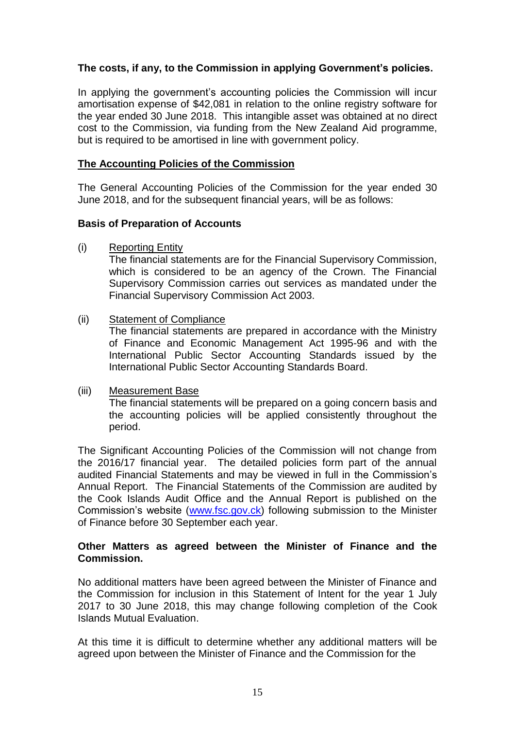## **The costs, if any, to the Commission in applying Government's policies.**

In applying the government's accounting policies the Commission will incur amortisation expense of \$42,081 in relation to the online registry software for the year ended 30 June 2018. This intangible asset was obtained at no direct cost to the Commission, via funding from the New Zealand Aid programme, but is required to be amortised in line with government policy.

### **The Accounting Policies of the Commission**

The General Accounting Policies of the Commission for the year ended 30 June 2018, and for the subsequent financial years, will be as follows:

### **Basis of Preparation of Accounts**

(i) Reporting Entity

The financial statements are for the Financial Supervisory Commission, which is considered to be an agency of the Crown. The Financial Supervisory Commission carries out services as mandated under the Financial Supervisory Commission Act 2003.

#### (ii) Statement of Compliance

The financial statements are prepared in accordance with the Ministry of Finance and Economic Management Act 1995-96 and with the International Public Sector Accounting Standards issued by the International Public Sector Accounting Standards Board.

### (iii) Measurement Base

The financial statements will be prepared on a going concern basis and the accounting policies will be applied consistently throughout the period.

The Significant Accounting Policies of the Commission will not change from the 2016/17 financial year. The detailed policies form part of the annual audited Financial Statements and may be viewed in full in the Commission's Annual Report. The Financial Statements of the Commission are audited by the Cook Islands Audit Office and the Annual Report is published on the Commission's website [\(www.fsc.gov.ck\)](http://www.fsc.gov.ck/) following submission to the Minister of Finance before 30 September each year.

### **Other Matters as agreed between the Minister of Finance and the Commission.**

No additional matters have been agreed between the Minister of Finance and the Commission for inclusion in this Statement of Intent for the year 1 July 2017 to 30 June 2018, this may change following completion of the Cook Islands Mutual Evaluation.

At this time it is difficult to determine whether any additional matters will be agreed upon between the Minister of Finance and the Commission for the